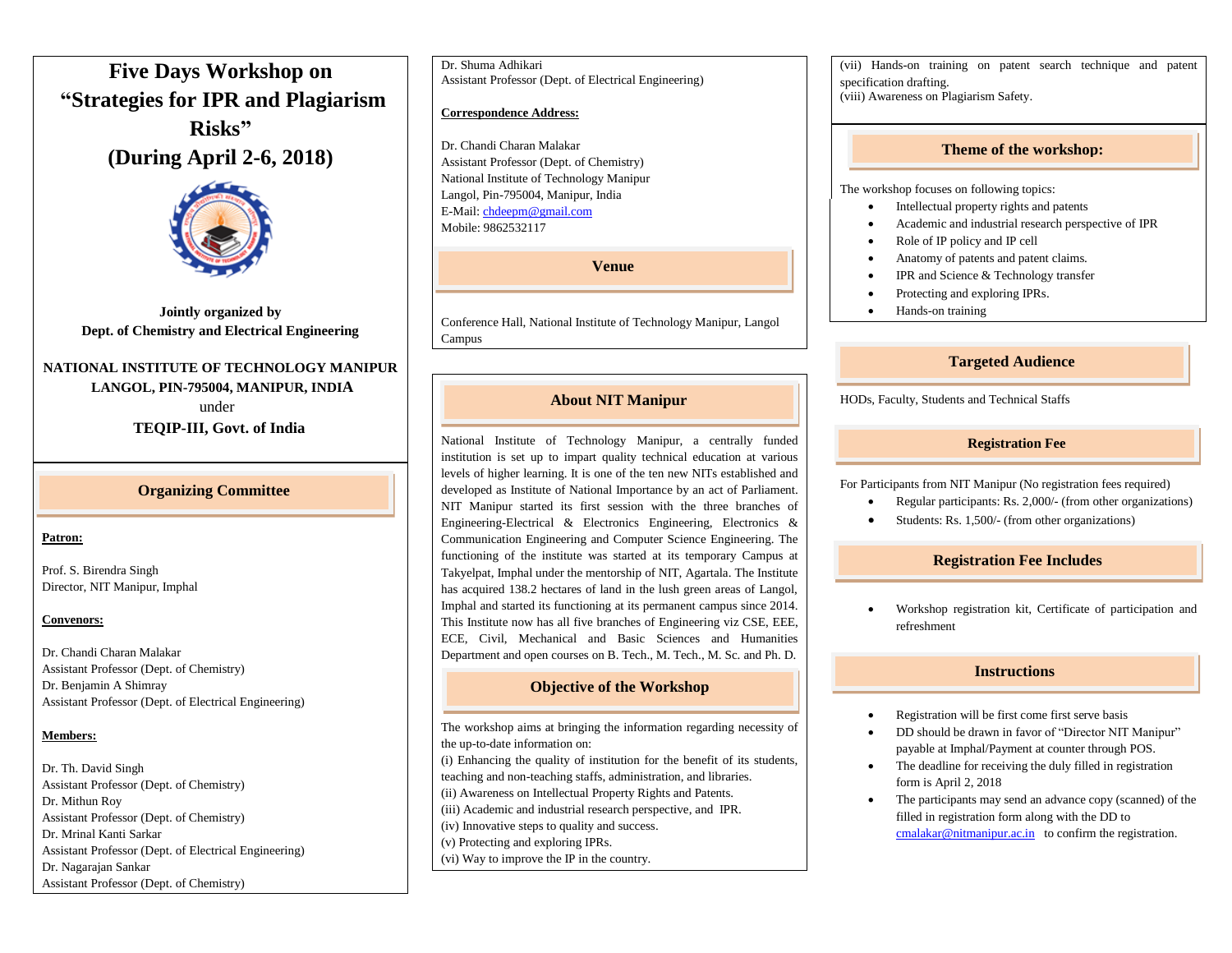# **Five Days Workshop on "Strategies for IPR and Plagiarism Risks" (During April 2-6, 2018)**



**Jointly organized by Dept. of Chemistry and Electrical Engineering**

# **NATIONAL INSTITUTE OF TECHNOLOGY MANIPUR LANGOL, PIN-795004, MANIPUR, INDIA**

 under  **TEQIP-III, Govt. of India**

# **Organizing Committee**

#### **Patron:**

Prof. S. Birendra Singh Director, NIT Manipur, Imphal

#### **Convenors:**

Dr. Chandi Charan Malakar Assistant Professor (Dept. of Chemistry) Dr. Benjamin A Shimray Assistant Professor (Dept. of Electrical Engineering)

#### **Members:**

Dr. Th. David Singh Assistant Professor (Dept. of Chemistry) Dr. Mithun Roy Assistant Professor (Dept. of Chemistry) Dr. Mrinal Kanti Sarkar Assistant Professor (Dept. of Electrical Engineering) Dr. Nagarajan Sankar Assistant Professor (Dept. of Chemistry)

Dr. Shuma Adhikari Assistant Professor (Dept. of Electrical Engineering)

#### **Correspondence Address:**

Dr. Chandi Charan Malakar Assistant Professor (Dept. of Chemistry) National Institute of Technology Manipur Langol, Pin-795004, Manipur, India E-Mail[: chdeepm@gmail.com](mailto:chdeepm@gmail.com) Mobile: 9862532117

**Venue**

Conference Hall, National Institute of Technology Manipur, Langol Campus

# **About NIT Manipur**

National Institute of Technology Manipur, a centrally funded institution is set up to impart quality technical education at various levels of higher learning. It is one of the ten new NITs established and developed as Institute of National Importance by an act of Parliament. NIT Manipur started its first session with the three branches of Engineering-Electrical & Electronics Engineering, Electronics & Communication Engineering and Computer Science Engineering. The functioning of the institute was started at its temporary Campus at Takyelpat, Imphal under the mentorship of NIT, Agartala. The Institute has acquired 138.2 hectares of land in the lush green areas of Langol, Imphal and started its functioning at its permanent campus since 2014. This Institute now has all five branches of Engineering viz CSE, EEE, ECE, Civil, Mechanical and Basic Sciences and Humanities Department and open courses on B. Tech., M. Tech., M. Sc. and Ph. D.

## **Objective of the Workshop**

The workshop aims at bringing the information regarding necessity of the up-to-date information on: (i) Enhancing the quality of institution for the benefit of its students, teaching and non-teaching staffs, administration, and libraries. (ii) Awareness on Intellectual Property Rights and Patents. (iii) Academic and industrial research perspective, and IPR. (iv) Innovative steps to quality and success. (v) Protecting and exploring IPRs. (vi) Way to improve the IP in the country.

(vii) Hands-on training on patent search technique and patent specification drafting. (viii) Awareness on Plagiarism Safety.

#### **Theme of the workshop:**

The workshop focuses on following topics:

- Intellectual property rights and patents
- Academic and industrial research perspective of IPR
- Role of IP policy and IP cell
- Anatomy of patents and patent claims.
- IPR and Science & Technology transfer
- Protecting and exploring IPRs.
- Hands-on training

## **Targeted Audience**

HODs, Faculty, Students and Technical Staffs

# **Registration Fee**

For Participants from NIT Manipur (No registration fees required)

- Regular participants: Rs. 2,000/- (from other organizations)
- Students: Rs. 1,500/- (from other organizations)

## **Registration Fee Includes**

 Workshop registration kit, Certificate of participation and refreshment

# **Instructions**

- Registration will be first come first serve basis
- DD should be drawn in favor of "Director NIT Manipur" payable at Imphal/Payment at counter through POS.
- The deadline for receiving the duly filled in registration form is April 2, 2018
- The participants may send an advance copy (scanned) of the filled in registration form along with the DD to [cmalakar@nitmanipur.ac.in](mailto:cmalakar@nitmanipur.ac.in) to confirm the registration.